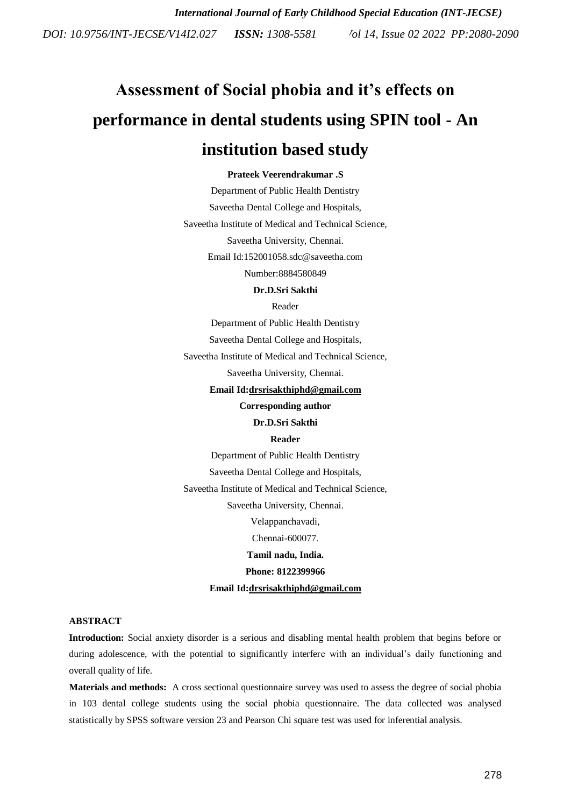# **Assessment of Social phobia and it's effects on performance in dental students using SPIN tool - An institution based study**

## **Prateek Veerendrakumar .S**

Department of Public Health Dentistry Saveetha Dental College and Hospitals, Saveetha Institute of Medical and Technical Science, Saveetha University, Chennai. Email Id:152001058.sdc@saveetha.com Number:8884580849

#### **Dr.D.Sri Sakthi**

Reader

Department of Public Health Dentistry

Saveetha Dental College and Hospitals,

Saveetha Institute of Medical and Technical Science,

Saveetha University, Chennai.

**Email Id[:drsrisakthiphd@gmail.com](mailto:drsrisakthiphd@gmail.com)**

**Corresponding author**

#### **Dr.D.Sri Sakthi**

## **Reader**

Department of Public Health Dentistry Saveetha Dental College and Hospitals, Saveetha Institute of Medical and Technical Science, Saveetha University, Chennai. Velappanchavadi, Chennai-600077. **Tamil nadu, India. Phone: 8122399966 Email Id[:drsrisakthiphd@gmail.com](mailto:drsrisakthiphd@gmail.com)**

## **ABSTRACT**

**Introduction:** Social anxiety disorder is a serious and disabling mental health problem that begins before or during adolescence, with the potential to significantly interfere with an individual's daily functioning and overall quality of life.

**Materials and methods:** A cross sectional questionnaire survey was used to assess the degree of social phobia in 103 dental college students using the social phobia questionnaire. The data collected was analysed statistically by SPSS software version 23 and Pearson Chi square test was used for inferential analysis.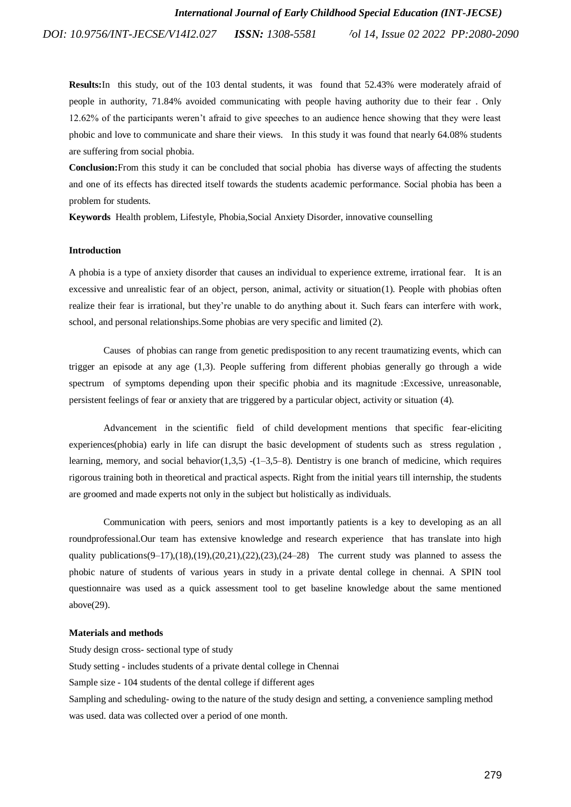**Results:**In this study, out of the 103 dental students, it was found that 52.43% were moderately afraid of people in authority, 71.84% avoided communicating with people having authority due to their fear . Only 12.62% of the participants weren"t afraid to give speeches to an audience hence showing that they were least phobic and love to communicate and share their views. In this study it was found that nearly 64.08% students are suffering from social phobia.

**Conclusion:**From this study it can be concluded that social phobia has diverse ways of affecting the students and one of its effects has directed itself towards the students academic performance. Social phobia has been a problem for students.

**Keywords** Health problem, Lifestyle, Phobia,Social Anxiety Disorder, innovative counselling

## **Introduction**

A phobia is a type of anxiety disorder that causes an individual to experience extreme, irrational fear. It is an excessive and unrealistic fear of an object, person, animal, activity or situatio[n\(1\).](https://paperpile.com/c/27CMay/2WFo) People with phobias often realize their fear is irrational, but they"re unable to do anything about it. Such fears can interfere with work, school, and personal relationships.Some phobias are very specific and limited [\(2\).](https://paperpile.com/c/27CMay/DyXV)

Causes of phobias can range from genetic predisposition to any recent traumatizing events, which can trigger an episode at any age [\(1,3\).](https://paperpile.com/c/27CMay/2WFo+jzES) People suffering from different phobias generally go through a wide spectrum of symptoms depending upon their specific phobia and its magnitude :Excessive, unreasonable, persistent feelings of fear or anxiety that are triggered by a particular object, activity or situation [\(4\).](https://paperpile.com/c/27CMay/OSRm)

Advancement in the scientific field of child development mentions that specific fear-eliciting experiences(phobia) early in life can disrupt the basic development of students such as stress regulation , learning, memory, and social behavior( $1,3,5$ ) - $(1-3,5-8)$ . Dentistry is one branch of medicine, which requires rigorous training both in theoretical and practical aspects. Right from the initial years till internship, the students are groomed and made experts not only in the subject but holistically as individuals.

Communication with peers, seniors and most importantly patients is a key to developing as an all roundprofessional.Our team has extensive knowledge and research experience that has translate into high quality publications( $9-17$ )[,\(18\),](https://paperpile.com/c/27CMay/IO4pQ)[\(19\),](https://paperpile.com/c/27CMay/upOvi)[\(20,21\)](https://paperpile.com/c/27CMay/tRom9+CtYuu)[,\(22\),](https://paperpile.com/c/27CMay/CaNJm)[\(23\),](https://paperpile.com/c/27CMay/I4xBC)[\(24–28\)](https://paperpile.com/c/27CMay/ssO4j+SiGof+7pg0i+PbXxX+aZbC5) The current study was planned to assess the phobic nature of students of various years in study in a private dental college in chennai. A SPIN tool questionnaire was used as a quick assessment tool to get baseline knowledge about the same mentioned abov[e\(29\).](https://paperpile.com/c/27CMay/zk6t)

### **Materials and methods**

Study design cross- sectional type of study Study setting - includes students of a private dental college in Chennai Sample size - 104 students of the dental college if different ages Sampling and scheduling- owing to the nature of the study design and setting, a convenience sampling method was used. data was collected over a period of one month.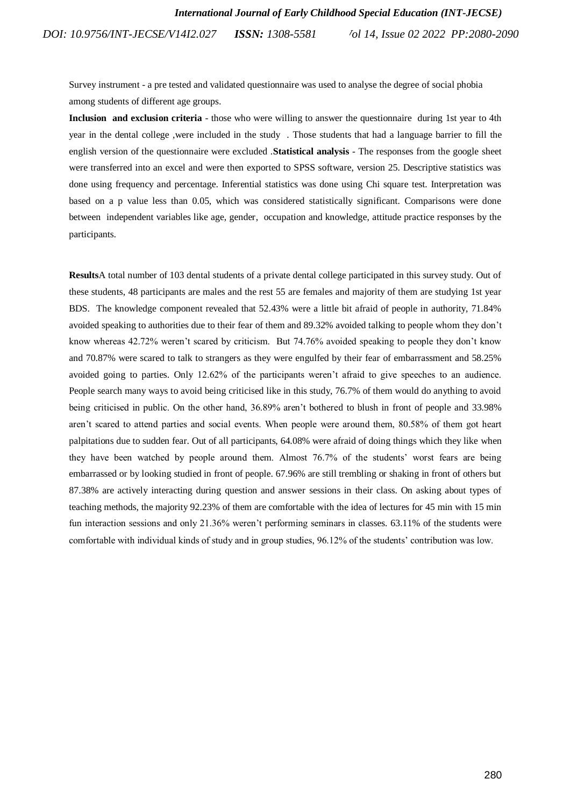Survey instrument - a pre tested and validated questionnaire was used to analyse the degree of social phobia among students of different age groups.

**Inclusion and exclusion criteria** - those who were willing to answer the questionnaire during 1st year to 4th year in the dental college ,were included in the study . Those students that had a language barrier to fill the english version of the questionnaire were excluded .**Statistical analysis** - The responses from the google sheet were transferred into an excel and were then exported to SPSS software, version 25. Descriptive statistics was done using frequency and percentage. Inferential statistics was done using Chi square test. Interpretation was based on a p value less than 0.05, which was considered statistically significant. Comparisons were done between independent variables like age, gender, occupation and knowledge, attitude practice responses by the participants.

**Results**A total number of 103 dental students of a private dental college participated in this survey study. Out of these students, 48 participants are males and the rest 55 are females and majority of them are studying 1st year BDS. The knowledge component revealed that 52.43% were a little bit afraid of people in authority, 71.84% avoided speaking to authorities due to their fear of them and 89.32% avoided talking to people whom they don"t know whereas 42.72% weren"t scared by criticism. But 74.76% avoided speaking to people they don"t know and 70.87% were scared to talk to strangers as they were engulfed by their fear of embarrassment and 58.25% avoided going to parties. Only 12.62% of the participants weren"t afraid to give speeches to an audience. People search many ways to avoid being criticised like in this study, 76.7% of them would do anything to avoid being criticised in public. On the other hand, 36.89% aren"t bothered to blush in front of people and 33.98% aren"t scared to attend parties and social events. When people were around them, 80.58% of them got heart palpitations due to sudden fear. Out of all participants, 64.08% were afraid of doing things which they like when they have been watched by people around them. Almost 76.7% of the students" worst fears are being embarrassed or by looking studied in front of people. 67.96% are still trembling or shaking in front of others but 87.38% are actively interacting during question and answer sessions in their class. On asking about types of teaching methods, the majority 92.23% of them are comfortable with the idea of lectures for 45 min with 15 min fun interaction sessions and only 21.36% weren't performing seminars in classes. 63.11% of the students were comfortable with individual kinds of study and in group studies, 96.12% of the students" contribution was low.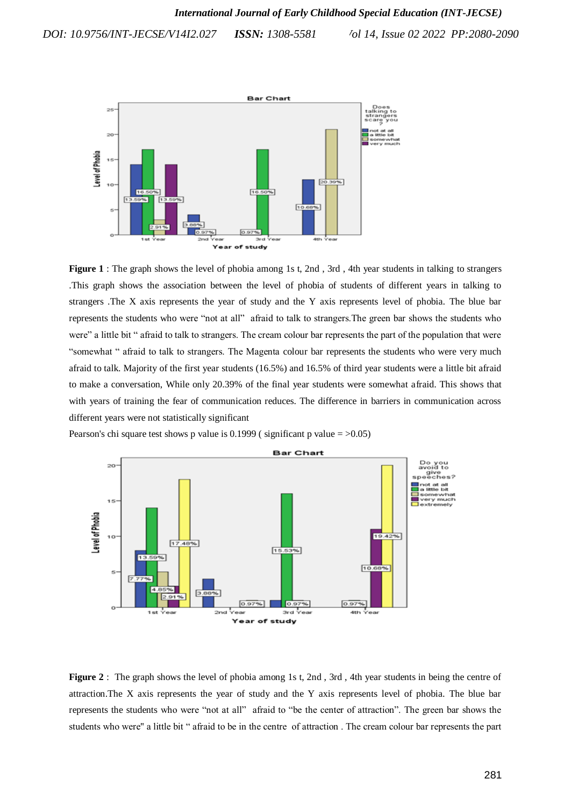

**Figure 1** : The graph shows the level of phobia among 1s t, 2nd , 3rd , 4th year students in talking to strangers .This graph shows the association between the level of phobia of students of different years in talking to strangers .The X axis represents the year of study and the Y axis represents level of phobia. The blue bar represents the students who were "not at all" afraid to talk to strangers.The green bar shows the students who were" a little bit " afraid to talk to strangers. The cream colour bar represents the part of the population that were "somewhat " afraid to talk to strangers. The Magenta colour bar represents the students who were very much afraid to talk. Majority of the first year students (16.5%) and 16.5% of third year students were a little bit afraid to make a conversation, While only 20.39% of the final year students were somewhat afraid. This shows that with years of training the fear of communication reduces. The difference in barriers in communication across different years were not statistically significant

Pearson's chi square test shows p value is  $0.1999$  (significant p value =  $>0.05$ )



**Figure 2**: The graph shows the level of phobia among 1s t, 2nd, 3rd, 4th year students in being the centre of attraction.The X axis represents the year of study and the Y axis represents level of phobia. The blue bar represents the students who were "not at all" afraid to "be the center of attraction". The green bar shows the students who were'' a little bit " afraid to be in the centre of attraction . The cream colour bar represents the part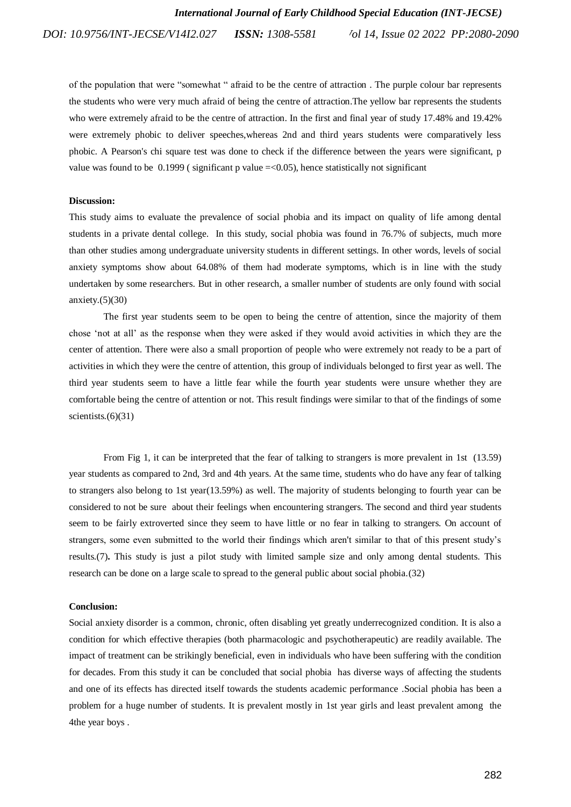of the population that were "somewhat " afraid to be the centre of attraction . The purple colour bar represents the students who were very much afraid of being the centre of attraction.The yellow bar represents the students who were extremely afraid to be the centre of attraction. In the first and final year of study 17.48% and 19.42% were extremely phobic to deliver speeches,whereas 2nd and third years students were comparatively less phobic. A Pearson's chi square test was done to check if the difference between the years were significant, p value was found to be  $0.1999$  (significant p value  $\approx$  =  $\lt 0.05$ ), hence statistically not significant

#### **Discussion:**

This study aims to evaluate the prevalence of social phobia and its impact on quality of life among dental students in a private dental college. In this study, social phobia was found in 76.7% of subjects, much more than other studies among undergraduate university students in different settings. In other words, levels of social anxiety symptoms show about 64.08% of them had moderate symptoms, which is in line with the study undertaken by some researchers. But in other research, a smaller number of students are only found with social anxiety. $(5)(30)$ 

The first year students seem to be open to being the centre of attention, since the majority of them chose "not at all" as the response when they were asked if they would avoid activities in which they are the center of attention. There were also a small proportion of people who were extremely not ready to be a part of activities in which they were the centre of attention, this group of individuals belonged to first year as well. The third year students seem to have a little fear while the fourth year students were unsure whether they are comfortable being the centre of attention or not. This result findings were similar to that of the findings of some scientists. $(6)(31)$ 

From Fig 1, it can be interpreted that the fear of talking to strangers is more prevalent in 1st (13.59) year students as compared to 2nd, 3rd and 4th years. At the same time, students who do have any fear of talking to strangers also belong to 1st year(13.59%) as well. The majority of students belonging to fourth year can be considered to not be sure about their feelings when encountering strangers. The second and third year students seem to be fairly extroverted since they seem to have little or no fear in talking to strangers. On account of strangers, some even submitted to the world their findings which aren't similar to that of this present study"s result[s.\(7\)](https://paperpile.com/c/27CMay/zeT4)**.** This study is just a pilot study with limited sample size and only among dental students. This research can be done on a large scale to spread to the general public about social phobia[.\(32\)](https://paperpile.com/c/27CMay/3bW3)

## **Conclusion:**

Social anxiety disorder is a common, chronic, often disabling yet greatly underrecognized condition. It is also a condition for which effective therapies (both pharmacologic and psychotherapeutic) are readily available. The impact of treatment can be strikingly beneficial, even in individuals who have been suffering with the condition for decades. From this study it can be concluded that social phobia has diverse ways of affecting the students and one of its effects has directed itself towards the students academic performance .Social phobia has been a problem for a huge number of students. It is prevalent mostly in 1st year girls and least prevalent among the 4the year boys .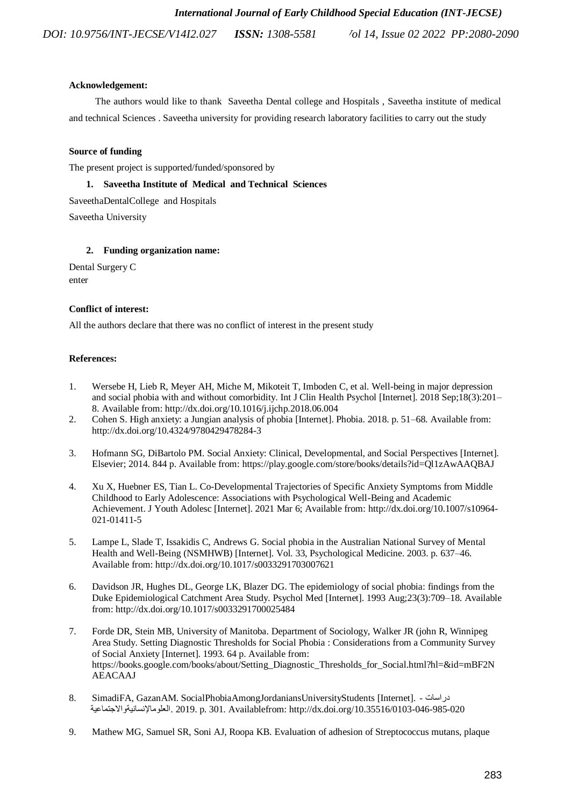# **Acknowledgement:**

 The authors would like to thank Saveetha Dental college and Hospitals , Saveetha institute of medical and technical Sciences . Saveetha university for providing research laboratory facilities to carry out the study

# **Source of funding**

The present project is supported/funded/sponsored by

# **1. Saveetha Institute of Medical and Technical Sciences**

SaveethaDentalCollege and Hospitals

Saveetha University

# **2. Funding organization name:**

Dental Surgery C enter

# **Conflict of interest:**

All the authors declare that there was no conflict of interest in the present study

# **References:**

- 1. [Wersebe H, Lieb R, Meyer AH, Miche M, Mikoteit T, Imboden C, et al. Well-being in major depression](http://paperpile.com/b/27CMay/2WFo)  [and social phobia with and without comorbidity. Int J Clin Health Psychol \[Internet\]. 2018 Sep;18\(3\):201–](http://paperpile.com/b/27CMay/2WFo) [8. Available from: http://dx.doi.org/10.1016/j.ijchp.2018.06.004](http://paperpile.com/b/27CMay/2WFo)
- 2. [Cohen S. High anxiety: a Jungian analysis of phobia \[Internet\]. Phobia. 2018. p. 51–68. Available from:](http://paperpile.com/b/27CMay/DyXV)  [http://dx.doi.org/10.4324/9780429478284-3](http://paperpile.com/b/27CMay/DyXV)
- 3. [Hofmann SG, DiBartolo PM. Social Anxiety: Clinical, Developmental, and Social Perspectives \[Internet\].](http://paperpile.com/b/27CMay/jzES)  [Elsevier; 2014. 844 p. Available from: https://play.google.com/store/books/details?id=Ql1zAwAAQBAJ](http://paperpile.com/b/27CMay/jzES)
- 4. [Xu X, Huebner ES, Tian L. Co-Developmental Trajectories of Specific Anxiety Symptoms from Middle](http://paperpile.com/b/27CMay/OSRm)  [Childhood to Early Adolescence: Associations with Psychological Well-Being and Academic](http://paperpile.com/b/27CMay/OSRm)  [Achievement. J Youth Adolesc \[Internet\]. 2021 Mar 6; Available from: http://dx.doi.org/10.1007/s10964-](http://paperpile.com/b/27CMay/OSRm) 021-01411-5
- 5. [Lampe L, Slade T, Issakidis C, Andrews G. Social phobia in the Australian National Survey of Mental](http://paperpile.com/b/27CMay/k7s1)  [Health and Well-Being \(NSMHWB\) \[Internet\]. Vol. 33, Psychological Medicine. 2003. p. 637–46.](http://paperpile.com/b/27CMay/k7s1)  [Available from: http://dx.doi.org/10.1017/s0033291703007621](http://paperpile.com/b/27CMay/k7s1)
- 6. [Davidson JR, Hughes DL, George LK, Blazer DG. The epidemiology of social phobia: findings from the](http://paperpile.com/b/27CMay/oJbj)  [Duke Epidemiological Catchment Area Study. Psychol Med \[Internet\]. 1993 Aug;23\(3\):709–18. Available](http://paperpile.com/b/27CMay/oJbj)  [from: http://dx.doi.org/10.1017/s0033291700025484](http://paperpile.com/b/27CMay/oJbj)
- 7. [Forde DR, Stein MB, University of Manitoba. Department of Sociology, Walker JR \(john R, Winnipeg](http://paperpile.com/b/27CMay/zeT4)  Area Study. Setting Diagnostic [Thresholds for Social Phobia : Considerations from a Community Survey](http://paperpile.com/b/27CMay/zeT4)  [of Social Anxiety \[Internet\]. 1993. 64 p. Available from:](http://paperpile.com/b/27CMay/zeT4)  [https://books.google.com/books/about/Setting\\_Diagnostic\\_Thresholds\\_for\\_Social.html?hl=&id=mBF2N](http://paperpile.com/b/27CMay/zeT4) AEACAAJ
- 8. [SimadiFA, G](http://paperpile.com/b/27CMay/oEYK)aza[nAM. S](http://paperpile.com/b/27CMay/oEYK)ocia[lPhobiaAmongJordaniansUniversityStudents](http://paperpile.com/b/27CMay/oEYK) [\[I](http://paperpile.com/b/27CMay/oEYK)nterne[t\]. -](http://paperpile.com/b/27CMay/oEYK) دراسات [ا](http://paperpile.com/b/27CMay/oEYK)لعلوماإلنسانيةواالجتماعي[ة. 2019. p.](http://paperpile.com/b/27CMay/oEYK) 301. [Availablef](http://paperpile.com/b/27CMay/oEYK)ro[m:](http://paperpile.com/b/27CMay/oEYK) <http://dx.doi.org/10.35516/0103-046-985-020>
- 9. [Mathew MG, Samuel SR, Soni AJ, Roopa KB. Evaluation of adhesion of Streptococcus mutans, plaque](http://paperpile.com/b/27CMay/YDH6M)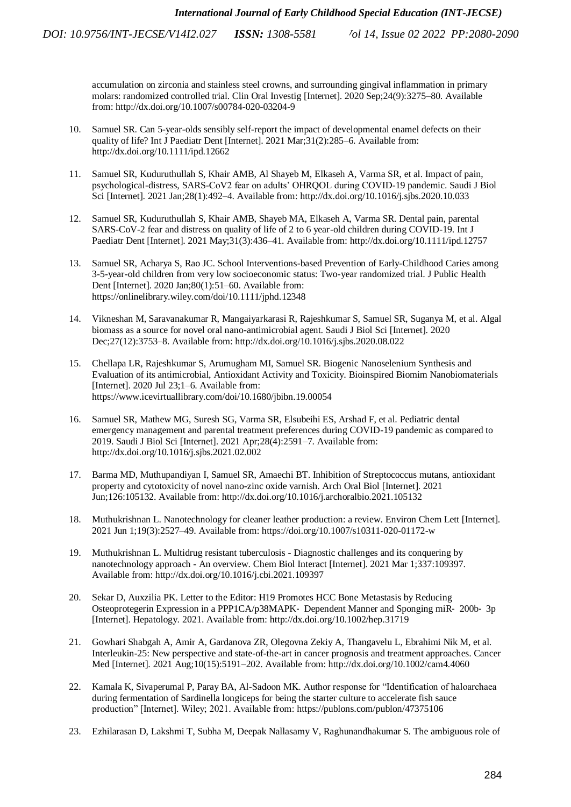> accumulation on zirconia and stainless steel crowns, and surrounding gingival inflammation in primary molars: randomized controlled trial. Clin Oral Investig [Internet]. 2020 Sep;24(9):3275–80. Available from[: http://dx.doi.org/10.1007/s00784-020-03204-9](http://dx.doi.org/10.1007/s00784-020-03204-9)

- 10. [Samuel SR. Can 5-year-olds sensibly self-report the impact of developmental enamel defects on their](http://paperpile.com/b/27CMay/8OSOb)  [quality of life? Int J Paediatr Dent \[Internet\]. 2021 Mar;31\(2\):285–6. Available from:](http://paperpile.com/b/27CMay/8OSOb)  [http://dx.doi.org/10.1111/ipd.12662](http://paperpile.com/b/27CMay/8OSOb)
- 11. [Samuel SR, Kuduruthullah S, Khair AMB, Al Shayeb M, Elkaseh A, Varma SR, et al. Impact of pain,](http://paperpile.com/b/27CMay/H8HFi)  [psychological-distress, SARS-CoV2 fear on adults" OHRQOL during COVID-19](http://paperpile.com/b/27CMay/H8HFi) pandemic. Saudi J Biol [Sci \[Internet\]. 2021 Jan;28\(1\):492–4. Available from: http://dx.doi.org/10.1016/j.sjbs.2020.10.033](http://paperpile.com/b/27CMay/H8HFi)
- 12. [Samuel SR, Kuduruthullah S, Khair AMB, Shayeb MA, Elkaseh A, Varma SR. Dental pain, parental](http://paperpile.com/b/27CMay/CLn9w)  [SARS-CoV-2 fear and distress on quality of life of 2 to 6 year-old children during COVID-19. Int J](http://paperpile.com/b/27CMay/CLn9w)  [Paediatr Dent \[Internet\]. 2021 May;31\(3\):436–41. Available from: http://dx.doi.org/10.1111/ipd.12757](http://paperpile.com/b/27CMay/CLn9w)
- 13. [Samuel SR, Acharya S, Rao JC. School Interventions-based Prevention of Early-Childhood Caries among](http://paperpile.com/b/27CMay/uJSjn)  3-5-year-old children [from very low socioeconomic status: Two-year randomized trial. J Public Health](http://paperpile.com/b/27CMay/uJSjn)  [Dent \[Internet\]. 2020 Jan;80\(1\):51–60. Available from:](http://paperpile.com/b/27CMay/uJSjn)  [https://onlinelibrary.wiley.com/doi/10.1111/jphd.12348](http://paperpile.com/b/27CMay/uJSjn)
- 14. [Vikneshan M, Saravanakumar R, Mangaiyarkarasi R, Rajeshkumar S, Samuel SR, Suganya M, et al. Algal](http://paperpile.com/b/27CMay/PePcC)  [biomass as a source for novel oral nano-antimicrobial agent. Saudi J Biol Sci \[Internet\]. 2020](http://paperpile.com/b/27CMay/PePcC)  [Dec;27\(12\):3753–8. Available from: http://dx.doi.org/10.1016/j.sjbs.2020.08.022](http://paperpile.com/b/27CMay/PePcC)
- 15. [Chellapa LR, Rajeshkumar S, Arumugham MI, Samuel SR. Biogenic Nanoselenium Synthesis and](http://paperpile.com/b/27CMay/ahPQf)  [Evaluation of its antimicrobial, Antioxidant Activity and Toxicity. Bioinspired Biomim Nanobiomaterials](http://paperpile.com/b/27CMay/ahPQf)  [\[Internet\]. 2020 Jul 23;1–6. Available from:](http://paperpile.com/b/27CMay/ahPQf)  [https://www.icevirtuallibrary.com/doi/10.1680/jbibn.19.00054](http://paperpile.com/b/27CMay/ahPQf)
- 16. [Samuel SR, Mathew MG, Suresh SG, Varma SR, Elsubeihi ES, Arshad F, et al. Pediatric dental](http://paperpile.com/b/27CMay/Arnel)  [emergency management and parental treatment preferences during COVID-19 pandemic as compared to](http://paperpile.com/b/27CMay/Arnel)  [2019. Saudi J Biol Sci \[Internet\]. 2021 Apr;28\(4\):2591–7. Available from:](http://paperpile.com/b/27CMay/Arnel)  [http://dx.doi.org/10.1016/j.sjbs.2021.02.002](http://paperpile.com/b/27CMay/Arnel)
- 17. [Barma MD, Muthupandiyan I, Samuel SR, Amaechi BT. Inhibition of Streptococcus mutans, antioxidant](http://paperpile.com/b/27CMay/lxMuk)  [property and cytotoxicity of novel nano-zinc oxide varnish. Arch Oral Biol \[Internet\]. 2021](http://paperpile.com/b/27CMay/lxMuk)  [Jun;126:105132. Available from: http://dx.doi.org/10.1016/j.archoralbio.2021.105132](http://paperpile.com/b/27CMay/lxMuk)
- 18. [Muthukrishnan L. Nanotechnology for cleaner leather production: a review. Environ Chem Lett \[Internet\].](http://paperpile.com/b/27CMay/IO4pQ)  [2021 Jun 1;19\(3\):2527–49. Available from: https://doi.org/10.1007/s10311-020-01172-w](http://paperpile.com/b/27CMay/IO4pQ)
- 19. [Muthukrishnan L. Multidrug resistant tuberculosis -](http://paperpile.com/b/27CMay/upOvi) Diagnostic challenges and its conquering by nanotechnology approach - [An overview. Chem Biol Interact \[Internet\]. 2021 Mar 1;337:109397.](http://paperpile.com/b/27CMay/upOvi)  [Available from: http://dx.doi.org/10.1016/j.cbi.2021.109397](http://paperpile.com/b/27CMay/upOvi)
- 20. [Sekar D, Auxzilia PK. Letter to the Editor: H19 Promotes HCC Bone Metastasis by Reducing](http://paperpile.com/b/27CMay/tRom9)  [Osteoprotegerin Expression in a PPP1CA/p38MAPK](http://paperpile.com/b/27CMay/tRom9)‐ Dependent Manner and Sponging miR‐ 200b‐ 3p [\[Internet\]. Hepatology. 2021. Available from: http://dx.doi.org/10.1002/hep.31719](http://paperpile.com/b/27CMay/tRom9)
- 21. [Gowhari Shabgah A, Amir A, Gardanova ZR, Olegovna Zekiy A, Thangavelu L, Ebrahimi Nik M, et al.](http://paperpile.com/b/27CMay/CtYuu)  [Interleukin-25: New perspective and state-of-the-art in cancer prognosis and treatment approaches. Cancer](http://paperpile.com/b/27CMay/CtYuu)  [Med \[Internet\]. 2021 Aug;10\(15\):5191–202. Available from: http://dx.doi.org/10.1002/cam4.4060](http://paperpile.com/b/27CMay/CtYuu)
- 22. Kamala K, Sivaperumal P, [Paray BA, Al-Sadoon MK. Author response for "Identification of haloarchaea](http://paperpile.com/b/27CMay/CaNJm)  [during fermentation of Sardinella longiceps for being the starter culture to accelerate fish sauce](http://paperpile.com/b/27CMay/CaNJm)  [production" \[Internet\]. Wiley; 2021. Available from: https://publons.com/publon/47375106](http://paperpile.com/b/27CMay/CaNJm)
- 23. [Ezhilarasan D, Lakshmi T, Subha M, Deepak Nallasamy V, Raghunandhakumar S. The ambiguous role of](http://paperpile.com/b/27CMay/I4xBC)